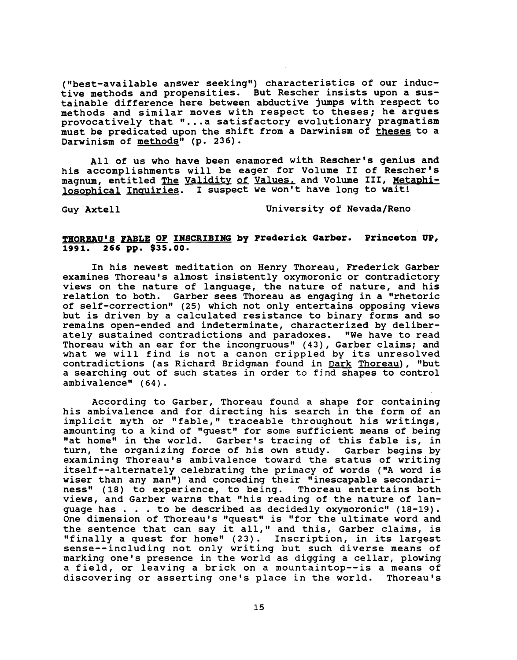("best-available answer seekinq") characteristics of our inductive methods and propensities. But Rescher insists upon a sustainable difference here between abductive jumps with respect to methods and similar moves with respect to theses; he arques provocatively that " ... a satisfactory evolutionary praqmatism must be predicated upon the shift from a Darwinism of theses to a Darwinism of methods" (p. 236).

All of us who have been enamored with Rescher's qenius and his accomplishments will be eaqer for Volume II of Rescher's magnum, entitled The Validity of Values, and Volume III, Metaphilosophical Inguiries. 1 suspect we won't have lonq to wait!

Guy Axtell University of Nevada/Reno

## THOREAU'S FABLE OF INSCRIBING by Frederick Garber. Princeton UP, 1991. 266 pp. \$35.00.

In his newest meditation on Henry Thoreau, Frederick Garber examines Thoreau's almost insistently oxymoronic or contradictory views on the nature of lanquaqe, the nature of nature, and his relation to both. Garber sees Thoreau as enqaqinq in a "rhetoric of self-correction" (25) which not only entertains opposinq views but is driven by a calculated resistance to binary forms and so remains open-ended and indeterminate, characterized by deliberately sustained contradictions and paradoxes. "We have to read Thoreau with an ear for the incongruous" (43), Garber claims; and what we wi11 find is not a canon cripp1ed by its unresolved contradictions (as Richard Bridqman found in Dark Thoreau), "but a searchinq out of such states in order to fjnd shapes to control ambivalence"  $(64)$ .

Accordinq to Garber, Thoreau found a shape for containinq his ambivalence and for directinq his search in the form of an implicit myth or "fable, " traceable throughout his writinqs, amountinq to a kind of "quest" for some sufficient means of beinq "at home" in the world. Garber's tracinq of this fable is, in turn, the orqanizing force of his own study. Garber beqins by examininq Thoreau's ambivalence toward the status of writinq itself--alternately celebratinq the primacy of words ("A word is wiser than any man") and conceding their "inescapable secondari-<br>ness" (18) to experience, to being. Thoreau entertains both ness"  $(18)$  to experience, to being. views, and Garber warns that "his reading of the nature of lanquage has  $\ldots$  to be described as decidedly oxymoronic" (18-19). One dimension of Thoreau's "quest" is "for the ultimate word and the sentence that can say it all, " and this, Garber claims, is "finally a quest for home" (23) . Inscription, in its largest sense--including not only writing but such diverse means of marking one's presence in the world as digging a cellar, plowing a field, or leaving a brick on a mountaintop--is a means of discovering or asserting one's place in the world. Thoreau's